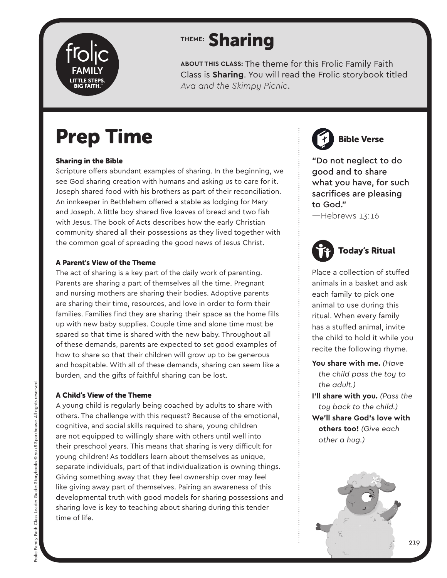

**ABOUT THIS CLASS:** The theme for this Frolic Family Faith Class is **Sharing**. You will read the Frolic storybook titled *Ava and the Skimpy Picnic*.

## Prep Time

#### Sharing in the Bible

Scripture offers abundant examples of sharing. In the beginning, we see God sharing creation with humans and asking us to care for it. Joseph shared food with his brothers as part of their reconciliation. An innkeeper in Bethlehem offered a stable as lodging for Mary and Joseph. A little boy shared five loaves of bread and two fish with Jesus. The book of Acts describes how the early Christian community shared all their possessions as they lived together with the common goal of spreading the good news of Jesus Christ.

#### A Parent's View of the Theme

The act of sharing is a key part of the daily work of parenting. Parents are sharing a part of themselves all the time. Pregnant and nursing mothers are sharing their bodies. Adoptive parents are sharing their time, resources, and love in order to form their families. Families find they are sharing their space as the home fills up with new baby supplies. Couple time and alone time must be spared so that time is shared with the new baby. Throughout all of these demands, parents are expected to set good examples of how to share so that their children will grow up to be generous and hospitable. With all of these demands, sharing can seem like a burden, and the gifts of faithful sharing can be lost.

#### A Child's View of the Theme

A young child is regularly being coached by adults to share with others. The challenge with this request? Because of the emotional, cognitive, and social skills required to share, young children are not equipped to willingly share with others until well into their preschool years. This means that sharing is very difficult for young children! As toddlers learn about themselves as unique, separate individuals, part of that individualization is owning things. Giving something away that they feel ownership over may feel like giving away part of themselves. Pairing an awareness of this developmental truth with good models for sharing possessions and sharing love is key to teaching about sharing during this tender time of life.

Bible Verse

"Do not neglect to do good and to share what you have, for such sacrifices are pleasing to God."

—Hebrews 13:16



Place a collection of stuffed animals in a basket and ask each family to pick one animal to use during this ritual. When every family has a stuffed animal, invite the child to hold it while you recite the following rhyme.

**You share with me.** *(Have the child pass the toy to the adult.)* **I'll share with you.** *(Pass the* 

*toy back to the child.)* **We'll share God's love with others too!** *(Give each other a hug.)*

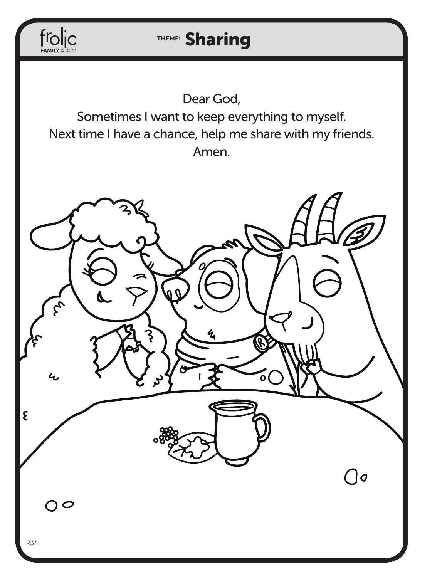

Dear God, Sometimes I want to keep everything to myself. Next time I have a chance, help me share with my friends. Amen.

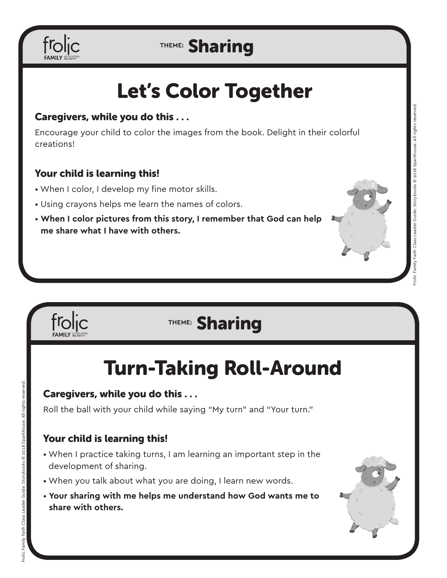

# Let's Color Together

#### Caregivers, while you do this . . .

Encourage your child to color the images from the book. Delight in their colorful creations!

#### Your child is learning this!

- When I color, I develop my fine motor skills.
- Using crayons helps me learn the names of colors.
- **When I color pictures from this story, I remember that God can help me share what I have with others.**



## **THEME:** Sharing

## Turn-Taking Roll-Around

#### Caregivers, while you do this . . .

Roll the ball with your child while saying "My turn" and "Your turn."

#### Your child is learning this!

- When I practice taking turns, I am learning an important step in the development of sharing.
- When you talk about what you are doing, I learn new words.
- **Your sharing with me helps me understand how God wants me to share with others.**